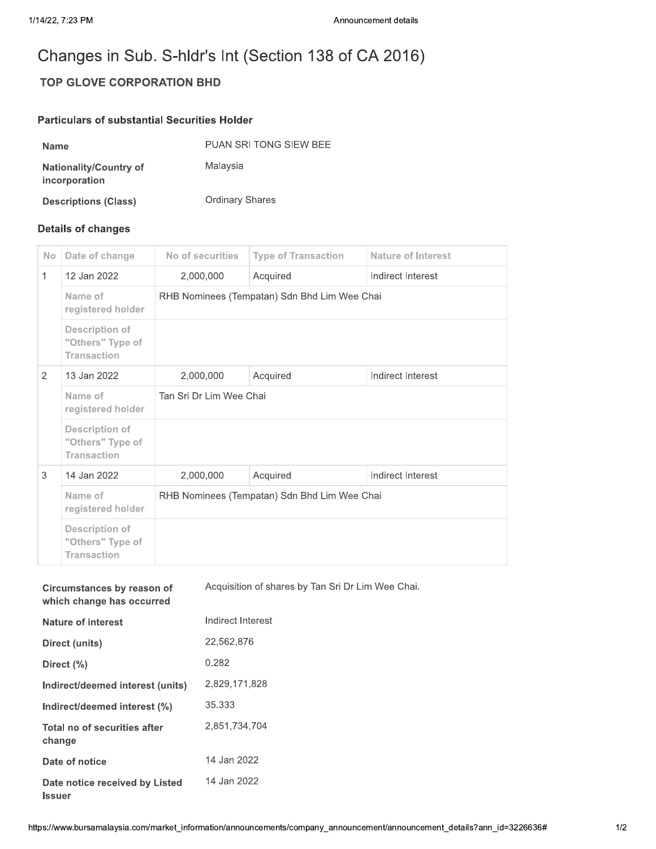## TOP GLOVE CORPORATION BHD

## Particulars of substantial Securities Holder

| Announcement details                                  |
|-------------------------------------------------------|
| Changes in Sub. S-hldr's Int (Section 138 of CA 2016) |
| <b>TOP GLOVE CORPORATION BHD</b>                      |
| <b>Particulars of substantial Securities Holder</b>   |
| PUAN SRI TONG SIEW BEE                                |
| Malaysia                                              |
| <b>Ordinary Shares</b>                                |
|                                                       |

## Details of changes

**Issuer** 

| <b>No</b>    | Date of change                                                  | No of securities                             | <b>Type of Transaction</b> | <b>Nature of Interest</b> |  |  |
|--------------|-----------------------------------------------------------------|----------------------------------------------|----------------------------|---------------------------|--|--|
| $\mathbf{1}$ | 12 Jan 2022                                                     | 2,000,000                                    | Acquired                   | Indirect Interest         |  |  |
|              | Name of<br>registered holder                                    | RHB Nominees (Tempatan) Sdn Bhd Lim Wee Chai |                            |                           |  |  |
|              | <b>Description of</b><br>"Others" Type of<br><b>Transaction</b> |                                              |                            |                           |  |  |
| 2            | 13 Jan 2022                                                     | 2,000,000                                    | Acquired                   | Indirect Interest         |  |  |
|              | Name of<br>registered holder                                    | Tan Sri Dr Lim Wee Chai                      |                            |                           |  |  |
|              | <b>Description of</b><br>"Others" Type of<br><b>Transaction</b> |                                              |                            |                           |  |  |
| 3            | 14 Jan 2022                                                     | 2,000,000                                    | Acquired                   | Indirect Interest         |  |  |
|              | Name of<br>registered holder                                    | RHB Nominees (Tempatan) Sdn Bhd Lim Wee Chai |                            |                           |  |  |
|              | <b>Description of</b><br>"Others" Type of<br><b>Transaction</b> |                                              |                            |                           |  |  |

|                                                         | Name of<br>registered holder                                    |  | RHB Nominees (Tempatan) Sdn Bhd Lim Wee Chai      |
|---------------------------------------------------------|-----------------------------------------------------------------|--|---------------------------------------------------|
|                                                         | <b>Description of</b><br>"Others" Type of<br><b>Transaction</b> |  |                                                   |
| Circumstances by reason of<br>which change has occurred |                                                                 |  | Acquisition of shares by Tan Sri Dr Lim Wee Chai. |
| <b>Nature of interest</b>                               |                                                                 |  | Indirect Interest                                 |
| Direct (units)                                          |                                                                 |  | 22,562,876                                        |
|                                                         | Direct (%)                                                      |  | 0.282                                             |
| Indirect/deemed interest (units)                        |                                                                 |  | 2,829,171,828                                     |
| Indirect/deemed interest (%)                            |                                                                 |  | 35.333                                            |
| Total no of securities after<br>change                  |                                                                 |  | 2,851,734,704                                     |
| Date of notice                                          |                                                                 |  | 14 Jan 2022                                       |
| Date notice received by Listed                          |                                                                 |  | 14 Jan 2022                                       |